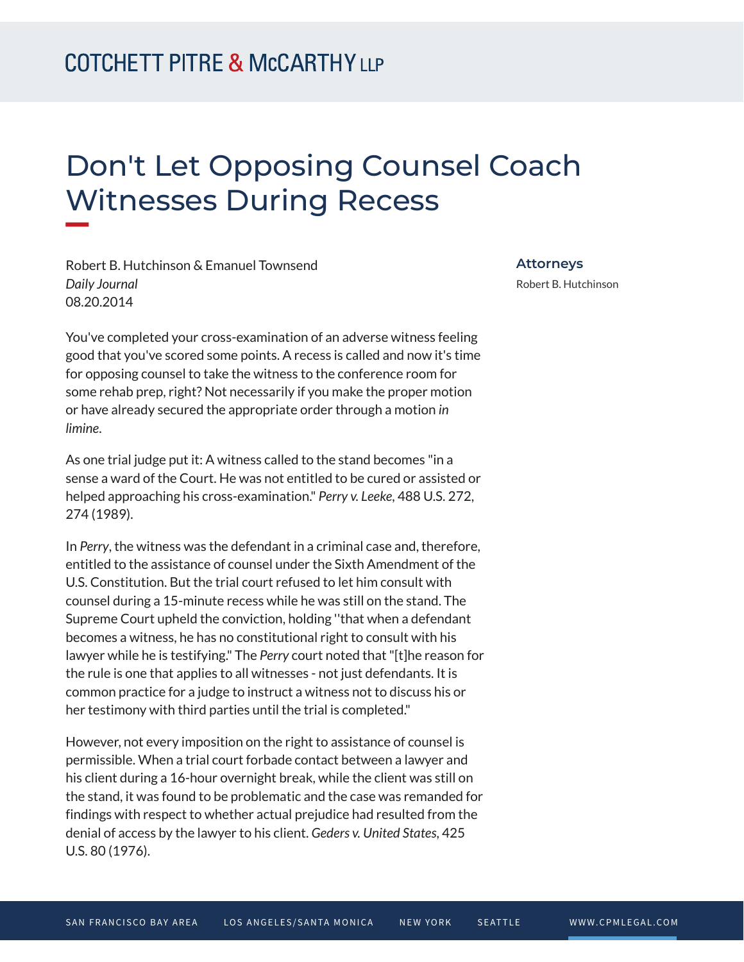## Don't Let Opposing Counsel Coach Witnesses During Recess

Robert B. Hutchinson & Emanuel Townsend *Daily Journal* 08.20.2014

**William** 

You've completed your cross-examination of an adverse witness feeling good that you've scored some points. A recess is called and now it's time for opposing counsel to take the witness to the conference room for some rehab prep, right? Not necessarily if you make the proper motion or have already secured the appropriate order through a motion *in limine*.

As one trial judge put it: A witness called to the stand becomes "in a sense a ward of the Court. He was not entitled to be cured or assisted or helped approaching his cross-examination." *Perry v. Leeke*, 488 U.S. 272, 274 (1989).

In *Perry*, the witness was the defendant in a criminal case and, therefore, entitled to the assistance of counsel under the Sixth Amendment of the U.S. Constitution. But the trial court refused to let him consult with counsel during a 15-minute recess while he was still on the stand. The Supreme Court upheld the conviction, holding ''that when a defendant becomes a witness, he has no constitutional right to consult with his lawyer while he is testifying." The *Perry* court noted that "[t]he reason for the rule is one that applies to all witnesses - not just defendants. It is common practice for a judge to instruct a witness not to discuss his or her testimony with third parties until the trial is completed."

However, not every imposition on the right to assistance of counsel is permissible. When a trial court forbade contact between a lawyer and his client during a 16-hour overnight break, while the client was still on the stand, it was found to be problematic and the case was remanded for findings with respect to whether actual prejudice had resulted from the denial of access by the lawyer to his client. *Geders v. United States*, 425 U.S. 80 (1976).

**Attorneys**

Robert B. Hutchinson